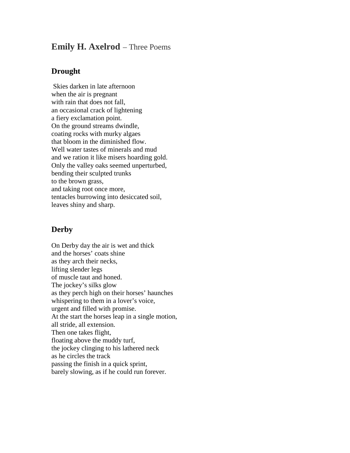## **Emily H. Axelrod** – Three Poems

## **Drought**

Skies darken in late afternoon when the air is pregnant with rain that does not fall, an occasional crack of lightening a fiery exclamation point. On the ground streams dwindle, coating rocks with murky algaes that bloom in the diminished flow. Well water tastes of minerals and mud and we ration it like misers hoarding gold. Only the valley oaks seemed unperturbed, bending their sculpted trunks to the brown grass, and taking root once more, tentacles burrowing into desiccated soil, leaves shiny and sharp.

## **Derby**

On Derby day the air is wet and thick and the horses' coats shine as they arch their necks, lifting slender legs of muscle taut and honed. The jockey's silks glow as they perch high on their horses' haunches whispering to them in a lover's voice, urgent and filled with promise. At the start the horses leap in a single motion, all stride, all extension. Then one takes flight, floating above the muddy turf, the jockey clinging to his lathered neck as he circles the track passing the finish in a quick sprint, barely slowing, as if he could run forever.